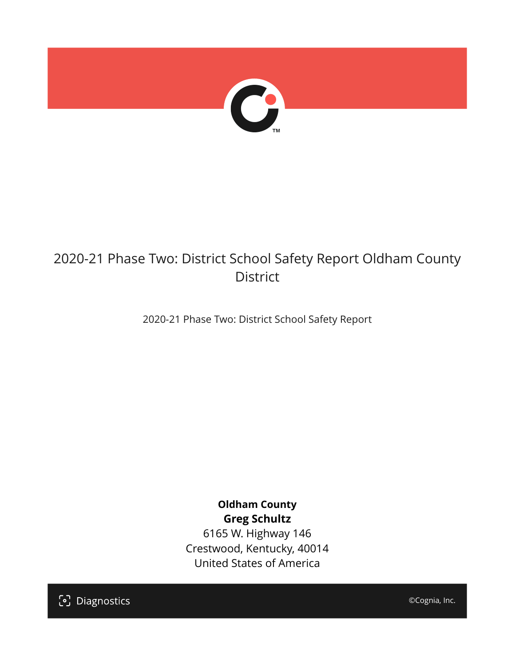

## 2020-21 Phase Two: District School Safety Report Oldham County **District**

2020-21 Phase Two: District School Safety Report

#### **Oldham County Greg Schultz**

6165 W. Highway 146 Crestwood, Kentucky, 40014 United States of America

[၁] Diagnostics

©Cognia, Inc.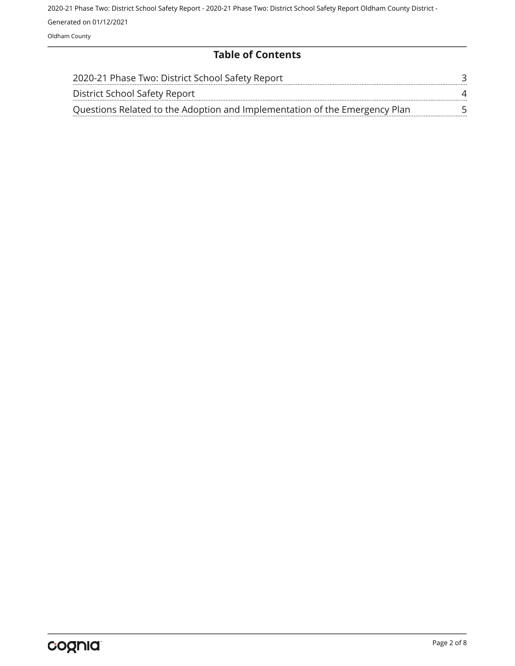Oldham County

#### **Table of Contents**

| 2020-21 Phase Two: District School Safety Report                           |  |
|----------------------------------------------------------------------------|--|
| District School Safety Report                                              |  |
| Questions Related to the Adoption and Implementation of the Emergency Plan |  |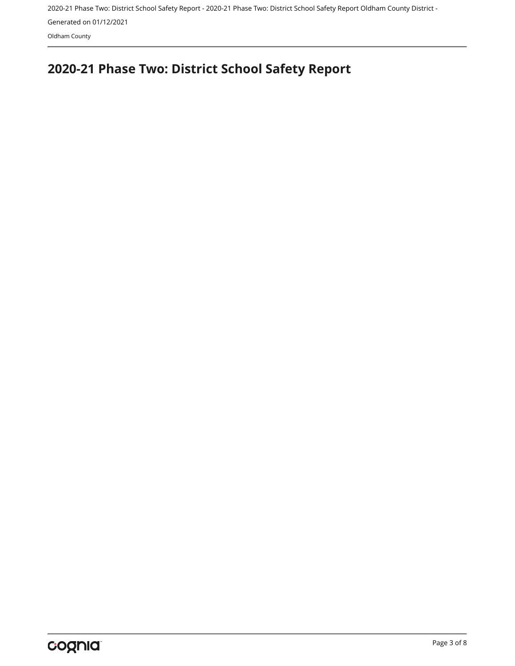Generated on 01/12/2021

Oldham County

## <span id="page-2-0"></span>**2020-21 Phase Two: District School Safety Report**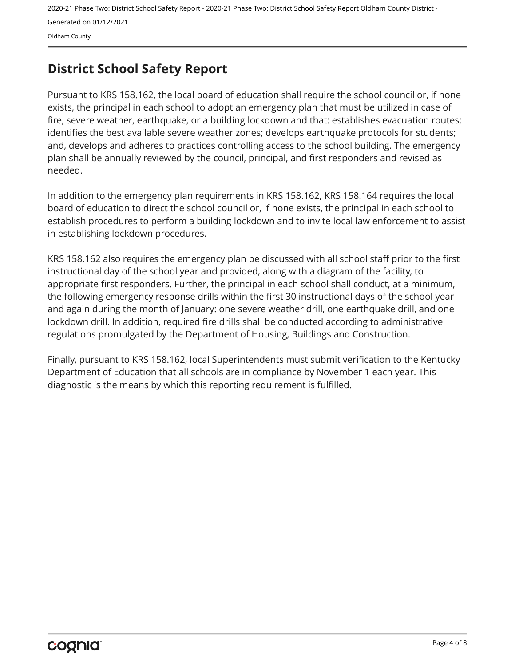### <span id="page-3-0"></span>**District School Safety Report**

Pursuant to KRS 158.162, the local board of education shall require the school council or, if none exists, the principal in each school to adopt an emergency plan that must be utilized in case of fire, severe weather, earthquake, or a building lockdown and that: establishes evacuation routes; identifies the best available severe weather zones; develops earthquake protocols for students; and, develops and adheres to practices controlling access to the school building. The emergency plan shall be annually reviewed by the council, principal, and first responders and revised as needed.

In addition to the emergency plan requirements in KRS 158.162, KRS 158.164 requires the local board of education to direct the school council or, if none exists, the principal in each school to establish procedures to perform a building lockdown and to invite local law enforcement to assist in establishing lockdown procedures.

KRS 158.162 also requires the emergency plan be discussed with all school staff prior to the first instructional day of the school year and provided, along with a diagram of the facility, to appropriate first responders. Further, the principal in each school shall conduct, at a minimum, the following emergency response drills within the first 30 instructional days of the school year and again during the month of January: one severe weather drill, one earthquake drill, and one lockdown drill. In addition, required fire drills shall be conducted according to administrative regulations promulgated by the Department of Housing, Buildings and Construction.

Finally, pursuant to KRS 158.162, local Superintendents must submit verification to the Kentucky Department of Education that all schools are in compliance by November 1 each year. This diagnostic is the means by which this reporting requirement is fulfilled.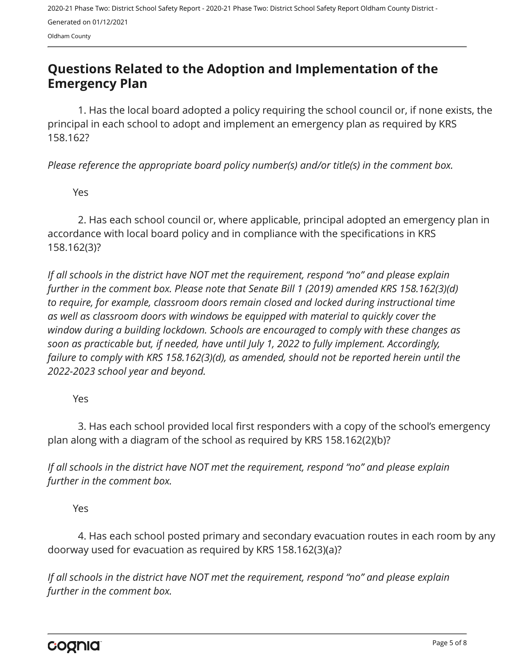#### <span id="page-4-0"></span>**Questions Related to the Adoption and Implementation of the Emergency Plan**

1. Has the local board adopted a policy requiring the school council or, if none exists, the principal in each school to adopt and implement an emergency plan as required by KRS 158.162?

*Please reference the appropriate board policy number(s) and/or title(s) in the comment box.*

Yes

2. Has each school council or, where applicable, principal adopted an emergency plan in accordance with local board policy and in compliance with the specifications in KRS 158.162(3)?

*If all schools in the district have NOT met the requirement, respond "no" and please explain further in the comment box. Please note that Senate Bill 1 (2019) amended KRS 158.162(3)(d) to require, for example, classroom doors remain closed and locked during instructional time as well as classroom doors with windows be equipped with material to quickly cover the window during a building lockdown. Schools are encouraged to comply with these changes as soon as practicable but, if needed, have until July 1, 2022 to fully implement. Accordingly, failure to comply with KRS 158.162(3)(d), as amended, should not be reported herein until the 2022-2023 school year and beyond.* 

Yes

3. Has each school provided local first responders with a copy of the school's emergency plan along with a diagram of the school as required by KRS 158.162(2)(b)?

*If all schools in the district have NOT met the requirement, respond "no" and please explain further in the comment box.*

Yes

4. Has each school posted primary and secondary evacuation routes in each room by any doorway used for evacuation as required by KRS 158.162(3)(a)?

*If all schools in the district have NOT met the requirement, respond "no" and please explain further in the comment box.*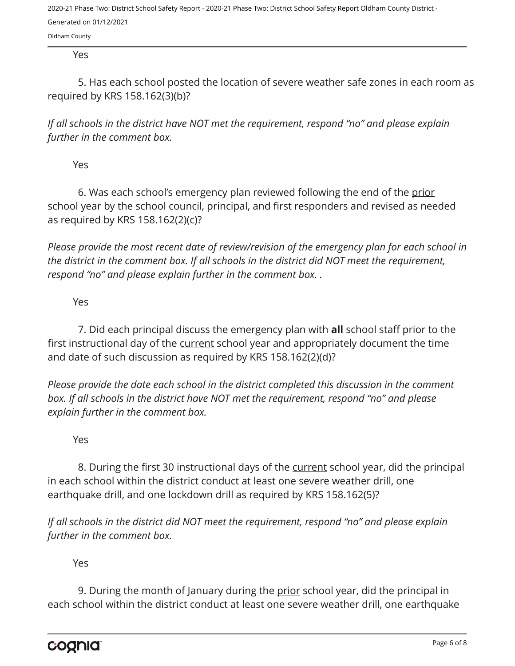Oldham County

#### Yes

5. Has each school posted the location of severe weather safe zones in each room as required by KRS 158.162(3)(b)?

*If all schools in the district have NOT met the requirement, respond "no" and please explain further in the comment box.*

Yes

6. Was each school's emergency plan reviewed following the end of the prior school year by the school council, principal, and first responders and revised as needed as required by KRS 158.162(2)(c)?

*Please provide the most recent date of review/revision of the emergency plan for each school in the district in the comment box. If all schools in the district did NOT meet the requirement, respond "no" and please explain further in the comment box. .*

Yes

7. Did each principal discuss the emergency plan with **all** school staff prior to the first instructional day of the current school year and appropriately document the time and date of such discussion as required by KRS 158.162(2)(d)?

*Please provide the date each school in the district completed this discussion in the comment box. If all schools in the district have NOT met the requirement, respond "no" and please explain further in the comment box.*

Yes

8. During the first 30 instructional days of the current school year, did the principal in each school within the district conduct at least one severe weather drill, one earthquake drill, and one lockdown drill as required by KRS 158.162(5)?

*If all schools in the district did NOT meet the requirement, respond "no" and please explain further in the comment box.*

Yes

9. During the month of January during the prior school year, did the principal in each school within the district conduct at least one severe weather drill, one earthquake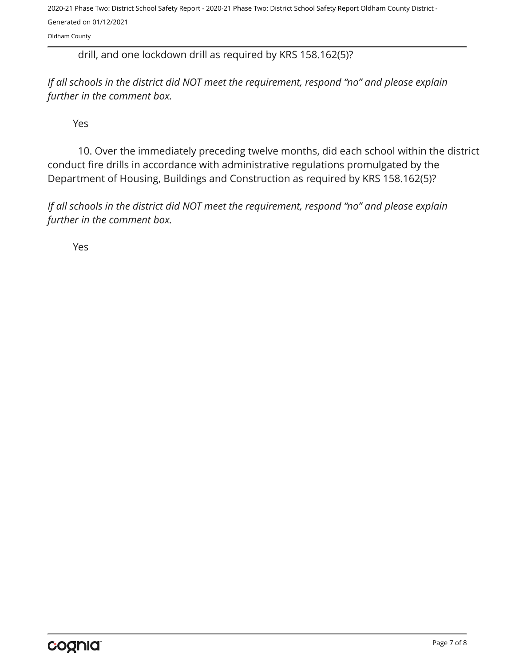Oldham County

drill, and one lockdown drill as required by KRS 158.162(5)?

*If all schools in the district did NOT meet the requirement, respond "no" and please explain further in the comment box.*

Yes

10. Over the immediately preceding twelve months, did each school within the district conduct fire drills in accordance with administrative regulations promulgated by the Department of Housing, Buildings and Construction as required by KRS 158.162(5)?

*If all schools in the district did NOT meet the requirement, respond "no" and please explain further in the comment box.*

Yes